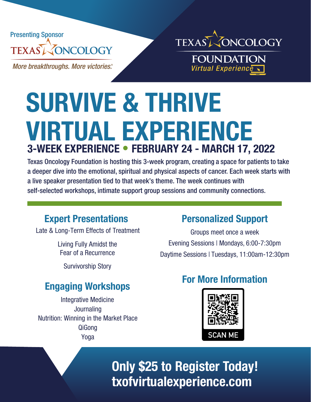



**More breakthroughs. More victories.** 

**FOUNDATION Virtual Experience** 

# **SURVIVE & THRIVE VIRTUAL EXPERIENCE 3-WEEK EXPERIENCE** • **FEBRUARY 24 - MARCH 17, 2022**

Texas Oncology Foundation is hosting this 3-week program, creating a space for patients to take a deeper dive into the emotional, spiritual and physical aspects of cancer. Each week starts with a live speaker presentation tied to that week's theme. The week continues with self-selected workshops, intimate support group sessions and community connections.

#### **Expert Presentations**

Late & Long-Term Effects of Treatment

Living Fully Amidst the Fear of a Recurrence

Survivorship Story

# **Engaging Workshops**

Integrative Medicine **Journaling** Nutrition: Winning in the Market Place QiGong Yoga

#### **Personalized Support**

Groups meet once a week Evening Sessions | Mondays, 6:00-7:30pm Daytime Sessions | Tuesdays, 11:00am-12:30pm

# **For More Information**



**Only \$25 to Register Today! txofvirtualexperience.com**